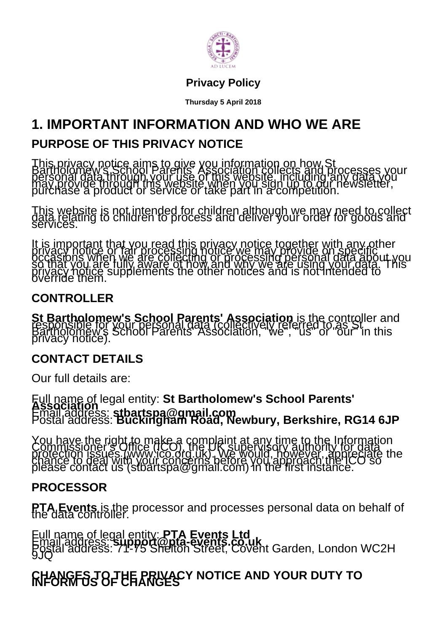

#### **Privacy Policy**

**Thursday 5 April 2018**

### **1. IMPORTANT INFORMATION AND WHO WE ARE**

#### **PURPOSE OF THIS PRIVACY NOTICE**

This privacy notice aims to give you information on how St<br>Bartholomew's School Parents Association collects and processes your<br>personal data through this website when you sign up to our newsletter,<br>purchase a product or s

This website is not intended for children although we may need to collect data relating to children to process and deliver your order for goods and services.

is important that you read this privacy notice together with any other<br>rivacy notice or fair processing notice we may provide on specific<br>ccasions when we are collecting or processing personal data apout y<br>o that you are f

#### **CONTROLLER**

St Bartholomew's School Parents' Association is the controller and<br>Jesponsible for your personal data (collectively referred to as St<br>Bartholomew's School Parents Association, "we", "us" or "our" in this<br>privacy notice).

#### **CONTACT DETAILS**

Our full details are:

Full name of legal entity: **St Bartholomew's School Parents'**<br>**Association**<br>Email address: **stbartspa@gmail.com**<br>Postal address: **Buckingham Road, Newbury, Berkshire, RG14 6JP** 

You have the right to make a complaint at any time to the Information<br>Commissioner's Office (ICO), the UK supervisory authority for data<br>protection issues (Myw.ico.org.uk), We would, however, appreciate the<br>chance to deal

#### **PROCESSOR**

**PTA Events** is the processor and processes personal data on behalf of the data controller.

Full name of legal entity: **PTA Events Ltd**<br>Email address: **Support@pta-events.co.uk**<br>9.JQ address: 71-75 Shelton Street, Covent Garden, London WC2H

# **CHANGES TO THE PRIVACY NOTICE AND YOUR DUTY TO INFORM US OF CHANGES**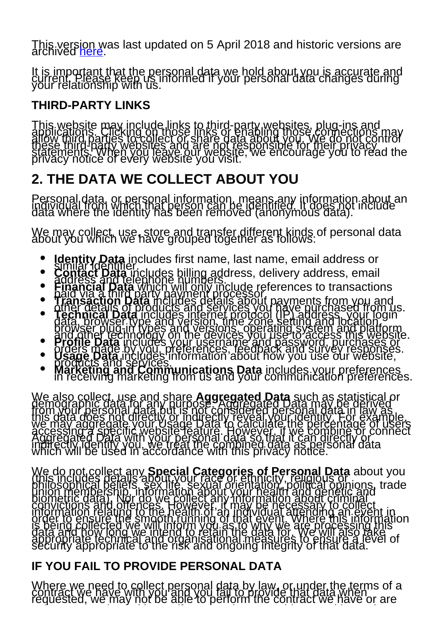This vers[ion w](/stbartspa/index.cfm?event=privacy&viewPreviousPrivacyPolicy=true)as last updated on 5 April 2018 and historic versions are archived [here](/stbartspa/index.cfm?event=privacy&viewPreviousPrivacyPolicy=true).

It is important that the personal data we hold about you is accurate and current. Please keep us informed if your personal data changes during your relationship with us.

### **THIRD-PARTY LINKS**

This website may include links to third-party websites, plug-ins and<br>applications. Clicking on those links or enabling those comections may<br>allow third parties to collect or share data about you. We do not control<br>these th

## **2. THE DATA WE COLLECT ABOUT YOU**

Personal data, or personal information, means any information about an<br>individual from which that person can be identified. It does not include<br>data where the identity has been removed (anonymous data).

We may collect, use, store and transfer different kinds of personal data about you which we have grouped together as follows:

- 
- 
- 
- Identity Data includes first name, last name, email address or<br>Confact Data includes billing address, delivery address, email<br>Confact Data includes billing address, delivery address, email<br>Financial Data which will only in
- 
- 
- 
- 

We also collect, use and share **Aggregated Data** such as statistical or<br>demographic data for any purpose Aggregated Data may be derived<br>from your personal data but is not considered personal data in law as<br>this data does n

We do not collect any **Special Categories of Personal Data** about you<br>(this includes details about your race or ethnicity, religious of about you<br>philosophical beliefs, sex life, sexual orientation, political opinions, tra

#### **IF YOU FAIL TO PROVIDE PERSONAL DATA**

Where we need to collect personal data by law, or under the terms of a<br>contract we have with you and you fail to provide that data when<br>requested, we may not be able to perform the contract we have or are trying to enter into with you (for example, to provide you with goods or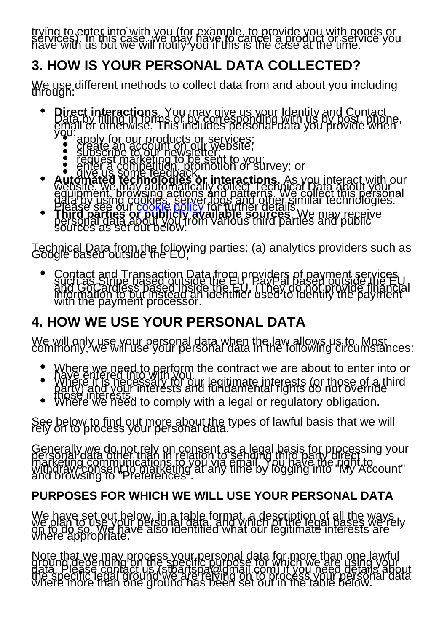requested, we may not be able to perform the contract we have or are trying to enter into with you (for example, to provide you with goods or<br>services). In this case, we may have to cancel a product or service you<br>have with us but we will notify you if this is the case at the time.

# **3. HOW IS YOUR PERSONAL DATA COLLECTED?**

We use different methods to collect data from and about you including<br>through:

- **Direct interactions**. You may give us your Identity and Contact<br>Data by filling in forms or by corresponding with us by post, phone<br>email or otherwise. This includes personal data you provide when
	-
	-
	-
- by for our products or services;<br>apply for our products or services;<br>apply for our newsletter;<br>and account on our website;<br>all subscribe to our newsletter;<br>and the series of to you;<br>all subscribe to our newsletter;<br>and one
- 

Technical Data from the following parties: (a) analytics providers such as Google based outside the EU;

Contact and Transaction Data from providers of payment services<br>Such as Stripe based outside the EU. (They do hased outside the EU<br>and GoCardless based inside the EU. (They do hort provide financial<br>information to but inst

# **4. HOW WE USE YOUR PERSONAL DATA**

We will only use your personal data when the law allows us to. Most commonly, we will use your personal data in the following circumstances:

- 
- Where we need to perform the contract we are about to enter into or<br>have entered into with you, legitimate interests (or those of a third<br>party) and your interests and fundamental rights do not override<br>those interests
- 

See below to find out more about the types of lawful basis that we will rely on to process your personal data.

Generally we do not rely on consent as a legal basis for processing your<br>personal data other than in relation to sending third party direct<br>marketing communications to you via email. You have the right to<br>withdraw consent

#### **PURPOSES FOR WHICH WE WILL USE YOUR PERSONAL DATA**

We have set out below, in a table format, a description of all the ways<br>we plan to use your personal data, and which of the legal bases we rely<br>on to do so. We have also identified what our legitimate interests are

Note that we may process your personal data for more than one lawful<br>ground depending on the specific purpose for which we are using your<br>the specific legal ground we are relying on to process your personal data<br>where more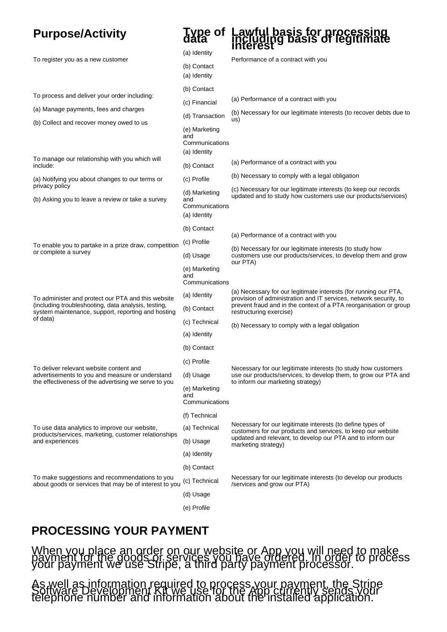**Purpose/Activity Type of data Lawful basis for processing including basis of legitimate interest**

| To register you as a new customer                                                                                                                                           | (d) lueritity                                          |                                                                                                                                                                                                                                       |
|-----------------------------------------------------------------------------------------------------------------------------------------------------------------------------|--------------------------------------------------------|---------------------------------------------------------------------------------------------------------------------------------------------------------------------------------------------------------------------------------------|
|                                                                                                                                                                             | (b) Contact<br>(a) Identity                            | Performance of a contract with you                                                                                                                                                                                                    |
|                                                                                                                                                                             | (b) Contact                                            |                                                                                                                                                                                                                                       |
| To process and deliver your order including:<br>(a) Manage payments, fees and charges                                                                                       | (c) Financial                                          | (a) Performance of a contract with you                                                                                                                                                                                                |
|                                                                                                                                                                             | (d) Transaction                                        | (b) Necessary for our legitimate interests (to recover debts due to<br>us)                                                                                                                                                            |
| (b) Collect and recover money owed to us                                                                                                                                    | (e) Marketing<br>and<br>Communications<br>(a) Identity |                                                                                                                                                                                                                                       |
| To manage our relationship with you which will<br>include:                                                                                                                  | (b) Contact                                            | (a) Performance of a contract with you                                                                                                                                                                                                |
| (a) Notifying you about changes to our terms or<br>privacy policy                                                                                                           | (c) Profile                                            | (b) Necessary to comply with a legal obligation                                                                                                                                                                                       |
| (b) Asking you to leave a review or take a survey                                                                                                                           | (d) Marketing<br>and<br>Communications<br>(a) Identity | (c) Necessary for our legitimate interests (to keep our records<br>updated and to study how customers use our products/services)                                                                                                      |
|                                                                                                                                                                             | (b) Contact                                            |                                                                                                                                                                                                                                       |
| To enable you to partake in a prize draw, competition<br>or complete a survey                                                                                               | (c) Profile                                            | (a) Performance of a contract with you<br>(b) Necessary for our legitimate interests (to study how<br>customers use our products/services, to develop them and grow<br>our PTA)                                                       |
|                                                                                                                                                                             | (d) Usage                                              |                                                                                                                                                                                                                                       |
|                                                                                                                                                                             | (e) Marketing<br>and<br>Communications                 |                                                                                                                                                                                                                                       |
| To administer and protect our PTA and this website<br>(including troubleshooting, data analysis, testing,<br>system maintenance, support, reporting and hosting<br>of data) | (a) Identity                                           | (a) Necessary for our legitimate interests (for running our PTA,<br>provision of administration and IT services, network security, to<br>prevent fraud and in the context of a PTA reorganisation or group<br>restructuring exercise) |
|                                                                                                                                                                             | (b) Contact                                            |                                                                                                                                                                                                                                       |
|                                                                                                                                                                             | (c) Technical                                          | (b) Necessary to comply with a legal obligation                                                                                                                                                                                       |
|                                                                                                                                                                             | (a) Identity                                           |                                                                                                                                                                                                                                       |
|                                                                                                                                                                             | (b) Contact                                            |                                                                                                                                                                                                                                       |
| To deliver relevant website content and<br>advertisements to you and measure or understand<br>the effectiveness of the advertising we serve to you                          | (c) Profile                                            | Necessary for our legitimate interests (to study how customers<br>use our products/services, to develop them, to grow our PTA and<br>to inform our marketing strategy)                                                                |
|                                                                                                                                                                             | (d) Usage                                              |                                                                                                                                                                                                                                       |
|                                                                                                                                                                             | (e) Marketing<br>and<br>Communications                 |                                                                                                                                                                                                                                       |
|                                                                                                                                                                             | (f) Technical                                          |                                                                                                                                                                                                                                       |
| To use data analytics to improve our website,<br>products/services, marketing, customer relationships<br>and experiences                                                    | (a) Technical                                          | Necessary for our legitimate interests (to define types of<br>customers for our products and services, to keep our website<br>updated and relevant, to develop our PTA and to inform our<br>marketing strategy)                       |
|                                                                                                                                                                             | (b) Usage                                              |                                                                                                                                                                                                                                       |
|                                                                                                                                                                             | (a) Identity                                           |                                                                                                                                                                                                                                       |
|                                                                                                                                                                             | (b) Contact                                            |                                                                                                                                                                                                                                       |
| To make suggestions and recommendations to you<br>about goods or services that may be of interest to you                                                                    | (c) Technical                                          | Necessary for our legitimate interests (to develop our products<br>/services and grow our PTA)                                                                                                                                        |
|                                                                                                                                                                             | (d) Usage                                              |                                                                                                                                                                                                                                       |
|                                                                                                                                                                             | (e) Profile                                            |                                                                                                                                                                                                                                       |

 $(n)$  Identity

#### **PROCESSING YOUR PAYMENT**

When you place an order on our website or App you will need to make<br>payment for the goods or services you have ordered. In order to process<br>your payment we use Stripe, a third party payment processor.

As well as information required to process your payment, the Stripe<br>Software Development Kit we use for the App currently sends your<br>telephone number and information about the installed application.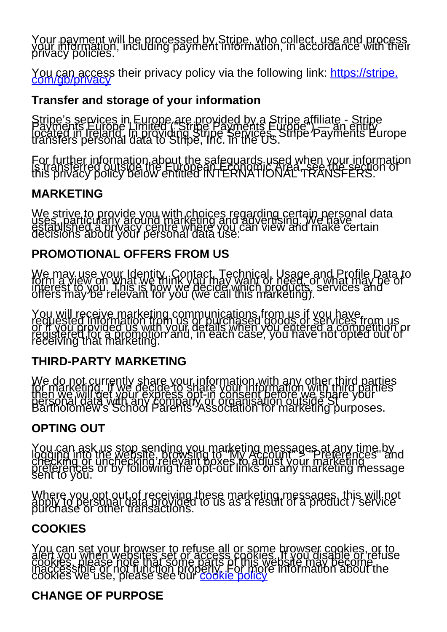Your payment will be processed by Stripe, who collect, use and process<br>your information, including payment information, in accordance with their<br>privacy policies.

You can access their privacy policy via the following link: [https://stripe.](https://stripe.com/gb/privacy)<br>[com/gb/privacy](https://stripe.com/gb/privacy)

#### **Transfer and storage of your information**

Stripe's services in Europe are provided by a Stripe affiliate - Stripe<br>Payments Europe Limited ("Stripe payments Europe") — an entity<br>Incated in Ireland. In providing Stripe, in the US.<br>Transfers personal data to Stripe,

For further information about the safeguards used when your information<br>is transferred outside the European Economic Area, section of<br>this privacy policy below entitled INTERNATIONAL TRANSFERS.

#### **MARKETING**

We strive to provide you with choices regarding certain personal data<br>uses, particularly around marketing and advertising. We have<br>decisions about your personal data use:

#### **PROMOTIONAL OFFERS FROM US**

We may use your Identity. Contact, Technical, Usage and Profile Data to<br>form a view on what we think you may want or heed, or what may be of<br>interest nay be relevant for you (we call this marketing).

You will receive marketing communications from us if you have,<br>requested information from us or purchased goods or services from us<br>or if you provided us with your details when you entered a competition or<br>receiving that m

#### **THIRD-PARTY MARKETING**

We do not currently share your information with any other third parties<br>for marketing. If we decide to share your information with third parties<br>then we will get your express opt-in consent perfore we share your<br>personal d

#### **OPTING OUT**

You can ask us stop sending you marketing messages at any time by<br>logging into the website, browsing to "My Account" > "Preferences" and<br>checking or unchecking relevant boxes to adjust your marketing<br>preferences or by foll

Where you opt out of receiving these marketing messages, this will not apply to personal data provided to us as a result of a product / service purchase or other transactions.

#### **COOKIES**

You can set your browser to refuse all or some browser cookies, or to<br>alert you when websites set or access cookies. If you disable or refuse<br>cookies, please not function pro[perly. For mor](/stbartspa/index.cfm?event=cookie-policy)e information about the<br>cookies we

#### **CHANGE OF PURPOSE**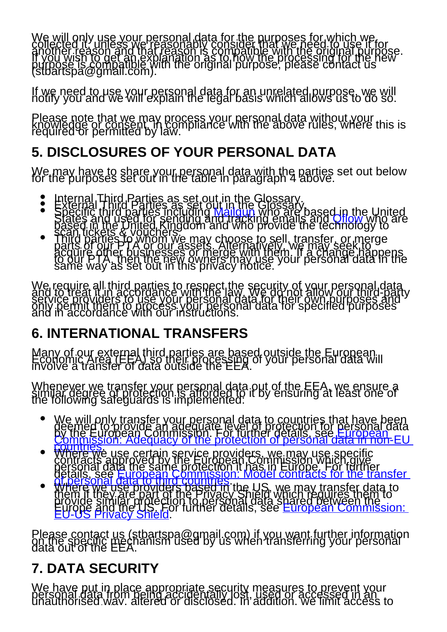We will only use your personal data for the purposes for which we,<br>collected it, unless we reasonably consider that we need to use it for<br>another reason and that reason is compatible with the original purpose.<br>If you wish

If we need to use your personal data for an unrelated purpose, we will notify you and we will explain the legal basis which allows us to do so.

Please note that we may process your personal data without your<br>knowledge or consent, in compliance with the above rules, where this is<br>required or permitted by law.

# **5. DISCLOSURES OF YOUR PERSONAL DATA**

We may have to share your personal data with the parties set out below for the purposes set out in the table in paragraph 4 above.

- $\ddot{\bullet}$
- 
- Internal Third Parties as set out in the Glossary.<br>External Third Parties as set out in the Glossary.<br>Specific third parties including Mailoun who are base[d in the](http://www.getqflow.com/) United<br>States and used for sending a[nd tracki](https://www.mailgun.com/)ng emails and

We require all third parties to respect the security of your personal data<br>and to treat it in accordance with the law. We do not allow our third-party<br>service providers to use your personal data for their own purposes and<br>

# **6. INTERNATIONAL TRANSFERS**

Many of our external third parties are based outside the European.<br>Economic Area (EEA) so their processing of your personal data will<br>involve a transfer of data outside the EEA.

Whenever we transfer your personal data out of the EEA, we ensure a similar degree of protection is afforded to it by ensuring at least one of the following safeguards is implemented:

- 
- 
- We will only transfer your [personal d](https://ec.europa.eu/info/law/law-topic/data-protection/data-transfers-outside-eu/adequacy-protection-personal-data-non-eu-countries_en)ata to countries that have been<br>deemed to provide am adequate level of profection for personal data<br>Commission: Adequacy of the protection of personal data<br>Commission: Adequacy of the p

Please contact us (stbartspa@gmail.com) if you want further information on the specific mechanism used by us when transferring your personal data out of the EEA.

# **7. DATA SECURITY**

We have put in place appropriate security measures to prevent your<br>personal data from being accidentally lost, used or accessed in an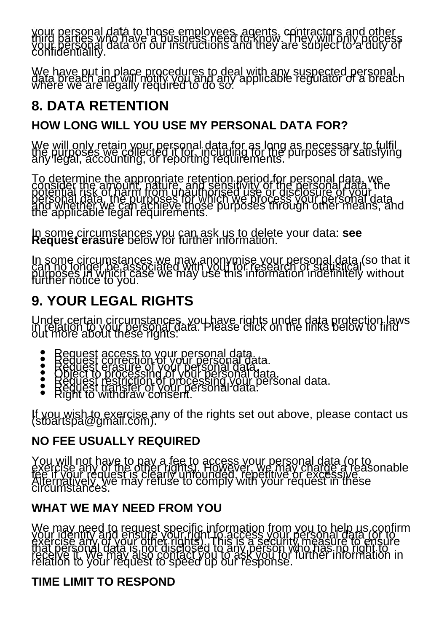your personal data to those employees, agents, contractors and other<br>third parties who have a business need to know. They will only proces<br>your personal data on our instructions and they are subject to a duty

We have put in place procedures to deal with any suspected personal data breach and will notify you and any applicable regulator of a breach where we are legally required to do so.

# **8. DATA RETENTION**

#### **HOW LONG WILL YOU USE MY PERSONAL DATA FOR?**

We will only retain your personal data for as long as necessary to fulfil<br>the purposes we collected it for, including for the purposes of satisfying<br>any legal, accounting, or reporting requirements.

To determine the appropriate retention period for personal data, we<br>consider the amount, nature, and sensitivity of the personal data, the<br>potential risk of harm from unauthorised use or disclosure of your<br>personal data, t

In some circumstances you can ask us to delete your data: **see Request erasure** below for further information.

In some circumstances we may anonymise your personal data (so that it<br>can no longer be associated with you) for research or statistical<br>further notice to you.

# **9. YOUR LEGAL RIGHTS**

Under certain circumstances, you have rights under data protection laws<br>in relation to your personal data. Please click on the links below to find<br>out more about these rights:

- 
- 
- Bequest access to your personal data.<br>Request correction of your personal data.<br>Request erasure of your personal data.<br>Depect to processing of your personal data.<br>Request transfer of your personal data.<br>Right to withdraw c  $\begin{array}{c} \bullet \\ \bullet \\ \bullet \\ \bullet \end{array}$
- 

If you wish to exercise any of the rights set out above, please contact us (stbartspa@gmail.com).

#### **NO FEE USUALLY REQUIRED**

You will not have to pay a fee to access your personal data (or to<br>exercise any of the other rights). However, we may charge a reasonable<br>fee if your request is clearly unrounded, repetitive or excessive.<br>Alternatively, we

#### **WHAT WE MAY NEED FROM YOU**

We may need to request specific information from you to help us confirm<br>your identity and ensure your right to access your personal data (or to<br>exercise any of your other rights). This is a security measure to ensure<br>that

#### **TIME LIMIT TO RESPOND**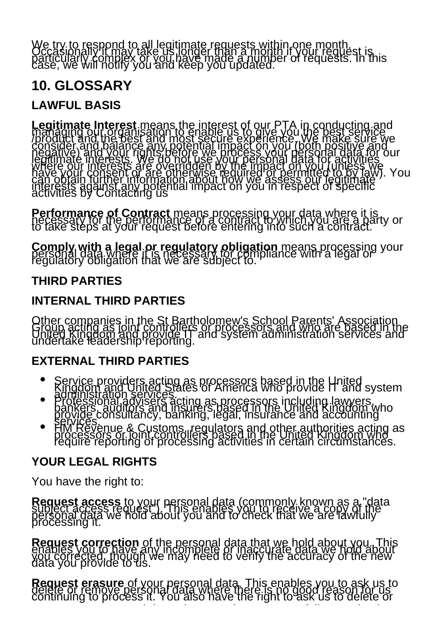# We try to respond to all legitimate requests within one month.<br>Occasionally it may take us longer than a month if your request is<br>particularly complex or you have made a number of requests. In this

# **10. GLOSSARY**

### **LAWFUL BASIS**

Legitimate Interest means the interest of our PTA in conducting and<br>managing our organisation to enable us to give you in e pest serie we<br>product and the best and most secure experience, We make sure we<br>consider and balanc

**Performance of Contract** means processing your data where it is necessary for the performance of a contract to which you are a party or to take steps at your request before entering into such a contract.

**Comply with a legal or regulatory obligation** means processing your<br>personal data where it is necessary for compliance with a legal or<br>regulatory obligation that we are subject to.

#### **THIRD PARTIES**

#### **INTERNAL THIRD PARTIES**

Other companies in the St Bartholomew's School Parents' Association<br>Group acting as joint controllers or processors and who are based in the<br>United Kingdom and provide IT and system administration services and<br>undertake le

#### **EXTERNAL THIRD PARTIES**

- 
- 
- Service providers acting as processors based in the United<br>Kingdom and United States of America who provide Unand system<br>administration services acting as processors including lawyers,<br>professional advisers acting as proce

#### **YOUR LEGAL RIGHTS**

You have the right to:

**Request access** to your personal data (commonly known as a "data subject access request"). This enables you to receive a copy of the processing it.<br>personal data we hold about you and to check that we are lawfully process

Request correction of the personal data that we hold about you. This<br>enables you to have any incomplete or inaccurate data we hold about<br>you corrected, though we may need to verify the accuracy of the new<br>data you provide

**Request erasure** of your personal data. This enables you to ask us to delete or remove personal data where there is no good reason for us<br>continuing to process it. You also have the right to ask us to delete or remove your personal data where you have successfully exercised your